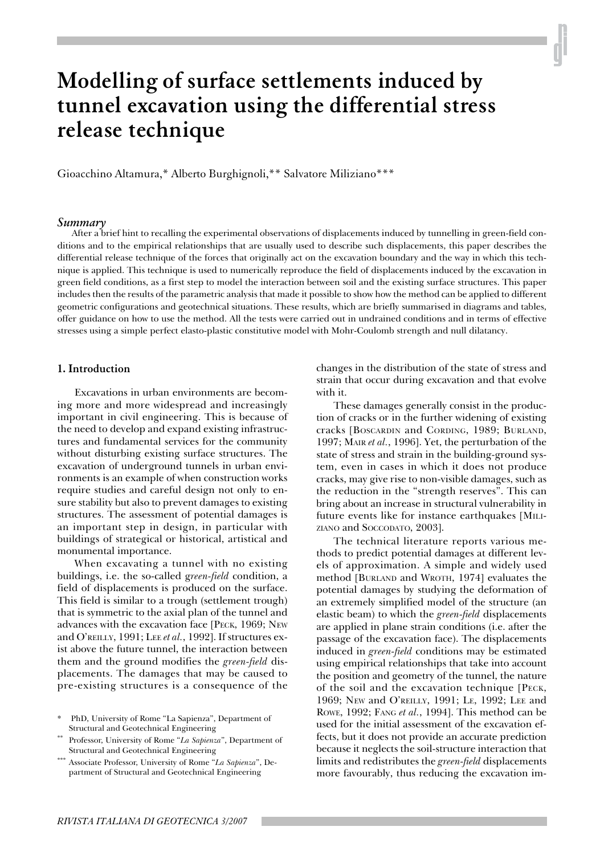# **Modelling of surface settlements induced by tunnel excavation using the differential stress release technique**

Gioacchino Altamura,\* Alberto Burghignoli,\*\* Salvatore Miliziano\*\*\*

# *Summary*

After a brief hint to recalling the experimental observations of displacements induced by tunnelling in green-field conditions and to the empirical relationships that are usually used to describe such displacements, this paper describes the differential release technique of the forces that originally act on the excavation boundary and the way in which this technique is applied. This technique is used to numerically reproduce the field of displacements induced by the excavation in green field conditions, as a first step to model the interaction between soil and the existing surface structures. This paper includes then the results of the parametric analysis that made it possible to show how the method can be applied to different geometric configurations and geotechnical situations. These results, which are briefly summarised in diagrams and tables, offer guidance on how to use the method. All the tests were carried out in undrained conditions and in terms of effective stresses using a simple perfect elasto-plastic constitutive model with Mohr-Coulomb strength and null dilatancy.

#### **1. Introduction**

Excavations in urban environments are becoming more and more widespread and increasingly important in civil engineering. This is because of the need to develop and expand existing infrastructures and fundamental services for the community without disturbing existing surface structures. The excavation of underground tunnels in urban environments is an example of when construction works require studies and careful design not only to ensure stability but also to prevent damages to existing structures. The assessment of potential damages is an important step in design, in particular with buildings of strategical or historical, artistical and monumental importance.

When excavating a tunnel with no existing buildings, i.e. the so-called g*reen-field* condition, a field of displacements is produced on the surface. This field is similar to a trough (settlement trough) that is symmetric to the axial plan of the tunnel and advances with the excavation face [PECK, 1969; NEW and O'REILLY, 1991; LEE *et al.*, 1992]. If structures exist above the future tunnel, the interaction between them and the ground modifies the *green-field* displacements. The damages that may be caused to pre-existing structures is a consequence of the

\* PhD, University of Rome "La Sapienza", Department of Structural and Geotechnical Engineering

- \*\* Professor, University of Rome "*La Sapienza*", Department of Structural and Geotechnical Engineering
- \*\*\* Associate Professor, University of Rome "*La Sapienza*", Department of Structural and Geotechnical Engineering

changes in the distribution of the state of stress and strain that occur during excavation and that evolve with it.

These damages generally consist in the production of cracks or in the further widening of existing cracks [BOSCARDIN and CORDING, 1989; BURLAND, 1997; MAIR *et al.*, 1996]. Yet, the perturbation of the state of stress and strain in the building-ground system, even in cases in which it does not produce cracks, may give rise to non-visible damages, such as the reduction in the "strength reserves". This can bring about an increase in structural vulnerability in future events like for instance earthquakes [MILI-ZIANO and SOCCODATO, 2003].

The technical literature reports various methods to predict potential damages at different levels of approximation. A simple and widely used method [BURLAND and WROTH, 1974] evaluates the potential damages by studying the deformation of an extremely simplified model of the structure (an elastic beam) to which the *green-field* displacements are applied in plane strain conditions (i.e. after the passage of the excavation face). The displacements induced in *green-field* conditions may be estimated using empirical relationships that take into account the position and geometry of the tunnel, the nature of the soil and the excavation technique [PECK, 1969; NEW and O'REILLY, 1991; LE, 1992; LEE and ROWE, 1992; FANG *et al.*, 1994]. This method can be used for the initial assessment of the excavation effects, but it does not provide an accurate prediction because it neglects the soil-structure interaction that limits and redistributes the *green-field* displacements more favourably, thus reducing the excavation im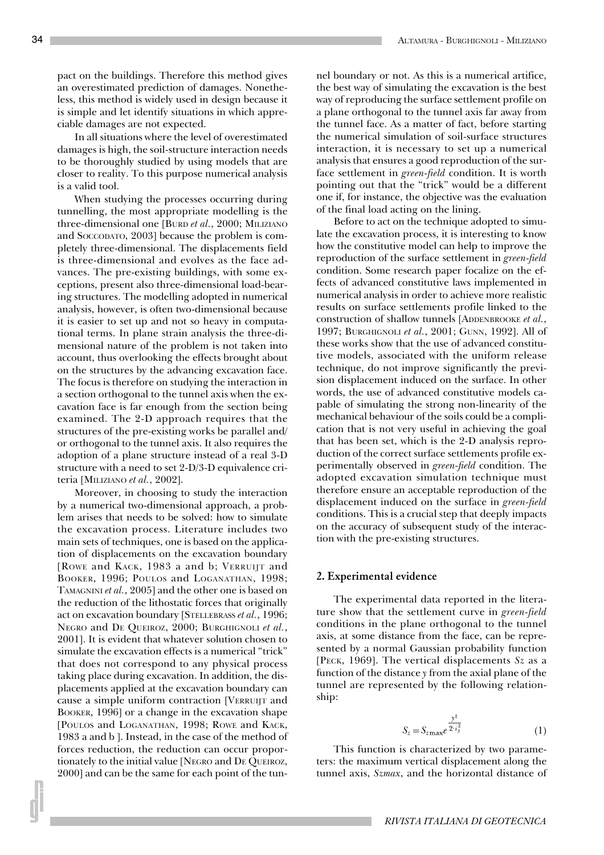pact on the buildings. Therefore this method gives an overestimated prediction of damages. Nonetheless, this method is widely used in design because it is simple and let identify situations in which appreciable damages are not expected.

In all situations where the level of overestimated damages is high, the soil-structure interaction needs to be thoroughly studied by using models that are closer to reality. To this purpose numerical analysis is a valid tool.

When studying the processes occurring during tunnelling, the most appropriate modelling is the three-dimensional one [BURD *et al.*, 2000; MILIZIANO and SOCCODATO, 2003] because the problem is completely three-dimensional. The displacements field is three-dimensional and evolves as the face advances. The pre-existing buildings, with some exceptions, present also three-dimensional load-bearing structures. The modelling adopted in numerical analysis, however, is often two-dimensional because it is easier to set up and not so heavy in computational terms. In plane strain analysis the three-dimensional nature of the problem is not taken into account, thus overlooking the effects brought about on the structures by the advancing excavation face. The focus is therefore on studying the interaction in a section orthogonal to the tunnel axis when the excavation face is far enough from the section being examined. The 2-D approach requires that the structures of the pre-existing works be parallel and/ or orthogonal to the tunnel axis. It also requires the adoption of a plane structure instead of a real 3-D structure with a need to set 2-D/3-D equivalence criteria [MILIZIANO *et al.*, 2002].

Moreover, in choosing to study the interaction by a numerical two-dimensional approach, a problem arises that needs to be solved: how to simulate the excavation process. Literature includes two main sets of techniques, one is based on the application of displacements on the excavation boundary [ROWE and KACK, 1983 a and b; VERRUIJT and BOOKER, 1996; POULOS and LOGANATHAN, 1998; TAMAGNINI *et al.*, 2005] and the other one is based on the reduction of the lithostatic forces that originally act on excavation boundary [STELLEBRASS *et al.*, 1996; NEGRO and DE QUEIROZ, 2000; BURGHIGNOLI *et al.*, 2001]. It is evident that whatever solution chosen to simulate the excavation effects is a numerical "trick" that does not correspond to any physical process taking place during excavation. In addition, the displacements applied at the excavation boundary can cause a simple uniform contraction [VERRUIJT and BOOKER, 1996] or a change in the excavation shape [POULOS and LOGANATHAN, 1998; ROWE and KACK, 1983 a and b ]. Instead, in the case of the method of forces reduction, the reduction can occur proportionately to the initial value [NEGRO and DE QUEIROZ, 2000] and can be the same for each point of the tunnel boundary or not. As this is a numerical artifice, the best way of simulating the excavation is the best way of reproducing the surface settlement profile on a plane orthogonal to the tunnel axis far away from the tunnel face. As a matter of fact, before starting the numerical simulation of soil-surface structures interaction, it is necessary to set up a numerical analysis that ensures a good reproduction of the surface settlement in *green-field* condition. It is worth pointing out that the "trick" would be a different one if, for instance, the objective was the evaluation of the final load acting on the lining.

Before to act on the technique adopted to simulate the excavation process, it is interesting to know how the constitutive model can help to improve the reproduction of the surface settlement in *green-field* condition. Some research paper focalize on the effects of advanced constitutive laws implemented in numerical analysis in order to achieve more realistic results on surface settlements profile linked to the construction of shallow tunnels [ADDENBROOKE *et al.*, 1997; BURGHIGNOLI *et al.*, 2001; GUNN, 1992]. All of these works show that the use of advanced constitutive models, associated with the uniform release technique, do not improve significantly the prevision displacement induced on the surface. In other words, the use of advanced constitutive models capable of simulating the strong non-linearity of the mechanical behaviour of the soils could be a complication that is not very useful in achieving the goal that has been set, which is the 2-D analysis reproduction of the correct surface settlements profile experimentally observed in *green-field* condition. The adopted excavation simulation technique must therefore ensure an acceptable reproduction of the displacement induced on the surface in *green-field* conditions. This is a crucial step that deeply impacts on the accuracy of subsequent study of the interaction with the pre-existing structures.

#### **2. Experimental evidence**

The experimental data reported in the literature show that the settlement curve in *green-field* conditions in the plane orthogonal to the tunnel axis, at some distance from the face, can be represented by a normal Gaussian probability function [PECK, 1969]. The vertical displacements *Sz* as a function of the distance *y* from the axial plane of the tunnel are represented by the following relationship:

$$
S_z = S_{z\max}e^{\frac{y^2}{2 \cdot i_y^2}}
$$
 (1)

This function is characterized by two parameters: the maximum vertical displacement along the tunnel axis, *Szmax*, and the horizontal distance of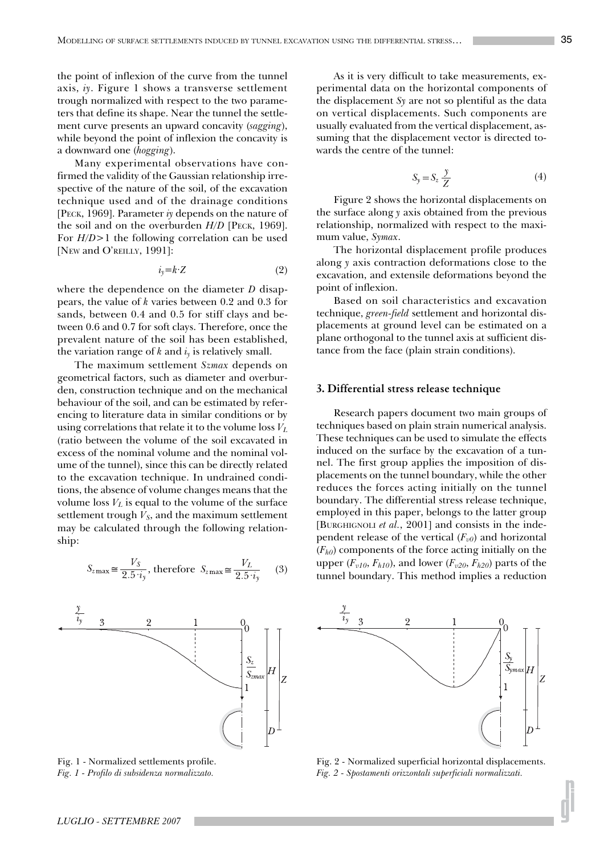the point of inflexion of the curve from the tunnel axis, *iy*. Figure 1 shows a transverse settlement trough normalized with respect to the two parameters that define its shape. Near the tunnel the settlement curve presents an upward concavity (*sagging*), while beyond the point of inflexion the concavity is a downward one (*hogging*).

Many experimental observations have confirmed the validity of the Gaussian relationship irrespective of the nature of the soil, of the excavation technique used and of the drainage conditions [PECK, 1969]. Parameter *iy* depends on the nature of the soil and on the overburden *H*/D [PECK, 1969]. For *H/D*>1 the following correlation can be used [NEW and O'REILLY, 1991]:

$$
i_y = k \cdot Z \tag{2}
$$

where the dependence on the diameter *D* disappears, the value of *k* varies between 0.2 and 0.3 for sands, between 0.4 and 0.5 for stiff clays and between 0.6 and 0.7 for soft clays. Therefore, once the prevalent nature of the soil has been established, the variation range of  $k$  and  $i<sub>v</sub>$  is relatively small.

The maximum settlement *Szmax* depends on geometrical factors, such as diameter and overburden, construction technique and on the mechanical behaviour of the soil, and can be estimated by referencing to literature data in similar conditions or by using correlations that relate it to the volume loss *VL* (ratio between the volume of the soil excavated in excess of the nominal volume and the nominal volume of the tunnel), since this can be directly related to the excavation technique. In undrained conditions, the absence of volume changes means that the volume loss  $V_L$  is equal to the volume of the surface settlement trough  $V_s$ , and the maximum settlement may be calculated through the following relationship:

$$
S_{z\max} \cong \frac{V_S}{2.5 \cdot i_y}, \text{ therefore } S_{z\max} \cong \frac{V_L}{2.5 \cdot i_y} \qquad (3)
$$



Fig. 1 - Normalized settlements profile. *Fig. 1 - Profilo di subsidenza normalizzato.*

As it is very difficult to take measurements, experimental data on the horizontal components of the displacement *Sy* are not so plentiful as the data on vertical displacements. Such components are usually evaluated from the vertical displacement, assuming that the displacement vector is directed towards the centre of the tunnel:

$$
S_y = S_z \frac{y}{Z} \tag{4}
$$

Figure 2 shows the horizontal displacements on the surface along *y* axis obtained from the previous relationship, normalized with respect to the maximum value, *Symax*.

The horizontal displacement profile produces along *y* axis contraction deformations close to the excavation, and extensile deformations beyond the point of inflexion.

Based on soil characteristics and excavation technique, *green-field* settlement and horizontal displacements at ground level can be estimated on a plane orthogonal to the tunnel axis at sufficient distance from the face (plain strain conditions).

#### **3. Differential stress release technique**

Research papers document two main groups of techniques based on plain strain numerical analysis. These techniques can be used to simulate the effects induced on the surface by the excavation of a tunnel. The first group applies the imposition of displacements on the tunnel boundary, while the other reduces the forces acting initially on the tunnel boundary. The differential stress release technique, employed in this paper, belongs to the latter group [BURGHIGNOLI *et al.*, 2001] and consists in the independent release of the vertical  $(F_{v0})$  and horizontal  $(F<sub>h0</sub>)$  components of the force acting initially on the upper  $(F_{v10}, F_{h10})$ , and lower  $(F_{v20}, F_{h20})$  parts of the tunnel boundary. This method implies a reduction



Fig. 2 - Normalized superficial horizontal displacements. *Fig. 2 - Spostamenti orizzontali superficiali normalizzati.*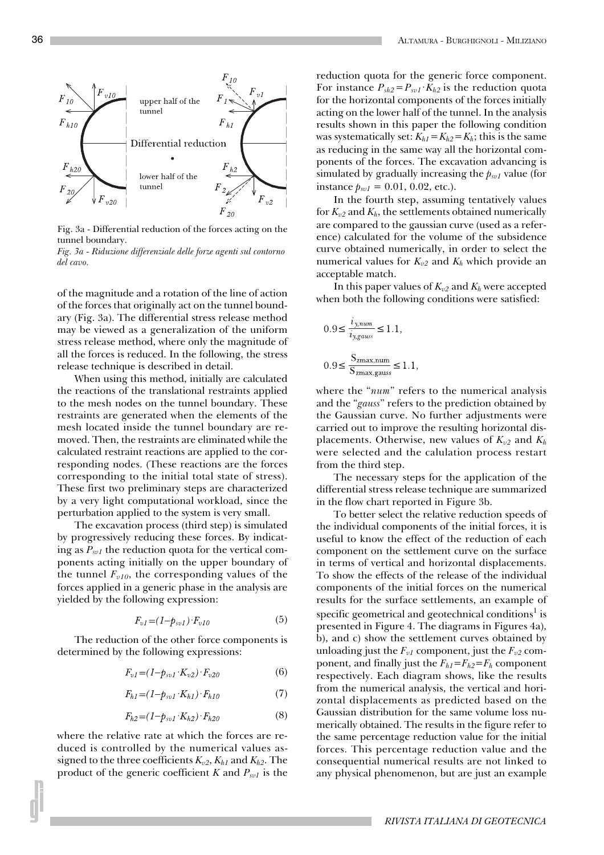

Fig. 3a - Differential reduction of the forces acting on the tunnel boundary.

*Fig. 3a - Riduzione differenziale delle forze agenti sul contorno del cavo.*

of the magnitude and a rotation of the line of action of the forces that originally act on the tunnel boundary (Fig. 3a). The differential stress release method may be viewed as a generalization of the uniform stress release method, where only the magnitude of all the forces is reduced. In the following, the stress release technique is described in detail.

When using this method, initially are calculated the reactions of the translational restraints applied to the mesh nodes on the tunnel boundary. These restraints are generated when the elements of the mesh located inside the tunnel boundary are removed. Then, the restraints are eliminated while the calculated restraint reactions are applied to the corresponding nodes. (These reactions are the forces corresponding to the initial total state of stress). These first two preliminary steps are characterized by a very light computational workload, since the perturbation applied to the system is very small.

The excavation process (third step) is simulated by progressively reducing these forces. By indicating as  $P_{svl}$  the reduction quota for the vertical components acting initially on the upper boundary of the tunnel  $F_{v10}$ , the corresponding values of the forces applied in a generic phase in the analysis are yielded by the following expression:

$$
F_{v1}=(1-p_{sv1})\cdot F_{v10} \tag{5}
$$

The reduction of the other force components is determined by the following expressions:

$$
F_{v1} = (1 - p_{sv1} \cdot K_{v2}) \cdot F_{v20} \tag{6}
$$

$$
F_{h1} = (1 - p_{sv1} \cdot K_{h1}) \cdot F_{h10} \tag{7}
$$

$$
F_{h2} = (1 - p_{sv1} \cdot K_{h2}) \cdot F_{h20} \tag{8}
$$

where the relative rate at which the forces are reduced is controlled by the numerical values assigned to the three coefficients  $K_{v2}$ ,  $K_{h1}$  and  $K_{h2}$ . The product of the generic coefficient  $K$  and  $P_{svl}$  is the reduction quota for the generic force component. For instance  $P_{sh2} = P_{syl} \cdot K_{h2}$  is the reduction quota for the horizontal components of the forces initially acting on the lower half of the tunnel. In the analysis results shown in this paper the following condition was systematically set:  $K_{h1} = K_{h2} = K_h$ ; this is the same as reducing in the same way all the horizontal components of the forces. The excavation advancing is simulated by gradually increasing the  $p_{sv1}$  value (for instance  $p_{svl} = 0.01, 0.02,$  etc.).

In the fourth step, assuming tentatively values for  $K_{v2}$  and  $K_h$ , the settlements obtained numerically are compared to the gaussian curve (used as a reference) calculated for the volume of the subsidence curve obtained numerically, in order to select the numerical values for  $K_{v2}$  and  $K_h$  which provide an acceptable match.

In this paper values of  $K_{\nu 2}$  and  $K_h$  were accepted when both the following conditions were satisfied:

$$
0.9 \le \frac{i_{y, num}}{i_{y, gauss}} \le 1.1,
$$
  

$$
0.9 \le \frac{S_{zmax, num}}{S_{zmax, gauss}} \le 1.1,
$$

where the "*num*" refers to the numerical analysis and the "*gauss*" refers to the prediction obtained by the Gaussian curve. No further adjustments were carried out to improve the resulting horizontal displacements. Otherwise, new values of  $K_{v2}$  and  $K_h$ were selected and the calulation process restart from the third step.

The necessary steps for the application of the differential stress release technique are summarized in the flow chart reported in Figure 3b.

To better select the relative reduction speeds of the individual components of the initial forces, it is useful to know the effect of the reduction of each component on the settlement curve on the surface in terms of vertical and horizontal displacements. To show the effects of the release of the individual components of the initial forces on the numerical results for the surface settlements, an example of specific geometrical and geotechnical conditions $^1$  is presented in Figure 4. The diagrams in Figures 4a), b), and c) show the settlement curves obtained by unloading just the  $F_{v1}$  component, just the  $F_{v2}$  component, and finally just the  $F_{h1} = F_{h2} = F_h$  component respectively. Each diagram shows, like the results from the numerical analysis, the vertical and horizontal displacements as predicted based on the Gaussian distribution for the same volume loss numerically obtained. The results in the figure refer to the same percentage reduction value for the initial forces. This percentage reduction value and the consequential numerical results are not linked to any physical phenomenon, but are just an example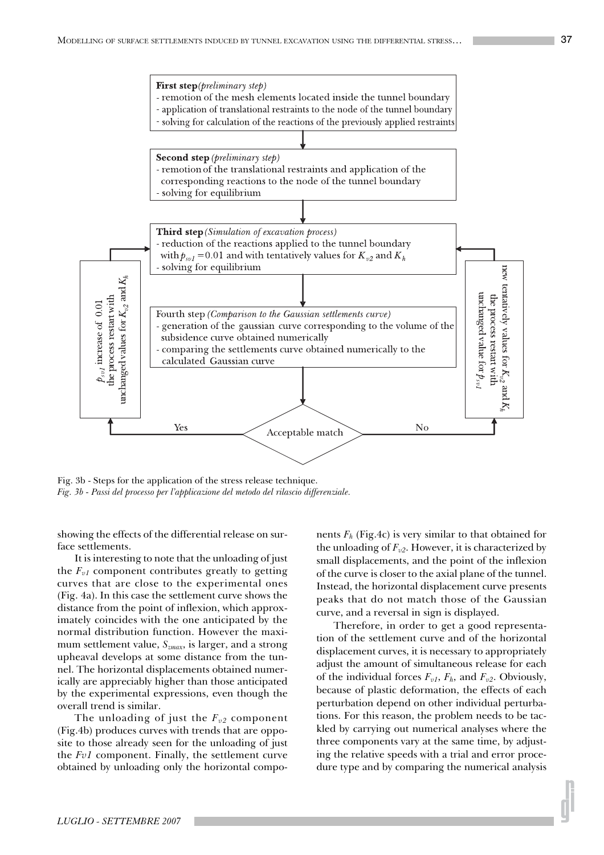

Fig. 3b - Steps for the application of the stress release technique. *Fig. 3b - Passi del processo per l'applicazione del metodo del rilascio differenziale.*

showing the effects of the differential release on surface settlements.

It is interesting to note that the unloading of just the  $F_{v1}$  component contributes greatly to getting curves that are close to the experimental ones (Fig. 4a). In this case the settlement curve shows the distance from the point of inflexion, which approximately coincides with the one anticipated by the normal distribution function. However the maximum settlement value, *Szmax*, is larger, and a strong upheaval develops at some distance from the tunnel. The horizontal displacements obtained numerically are appreciably higher than those anticipated by the experimental expressions, even though the overall trend is similar.

The unloading of just the  $F_{v2}$  component (Fig.4b) produces curves with trends that are opposite to those already seen for the unloading of just the *Fv1* component. Finally, the settlement curve obtained by unloading only the horizontal components  $F_h$  (Fig.4c) is very similar to that obtained for the unloading of  $F_{v2}$ . However, it is characterized by small displacements, and the point of the inflexion of the curve is closer to the axial plane of the tunnel. Instead, the horizontal displacement curve presents peaks that do not match those of the Gaussian curve, and a reversal in sign is displayed.

Therefore, in order to get a good representation of the settlement curve and of the horizontal displacement curves, it is necessary to appropriately adjust the amount of simultaneous release for each of the individual forces  $F_{v1}$ ,  $F_h$ , and  $F_{v2}$ . Obviously, because of plastic deformation, the effects of each perturbation depend on other individual perturbations. For this reason, the problem needs to be tackled by carrying out numerical analyses where the three components vary at the same time, by adjusting the relative speeds with a trial and error procedure type and by comparing the numerical analysis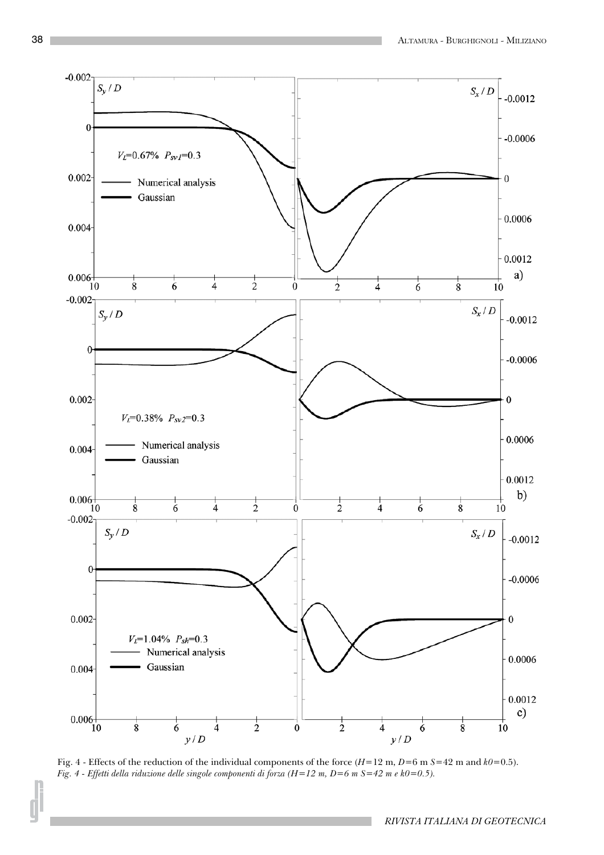

Fig. 4 - Effects of the reduction of the individual components of the force (*H*=12 m, *D*=6 m *S*=42 m and *k0*=0.5). *Fig. 4 - Effetti della riduzione delle singole componenti di forza (H=12 m, D=6 m S=42 m e k0=0.5).*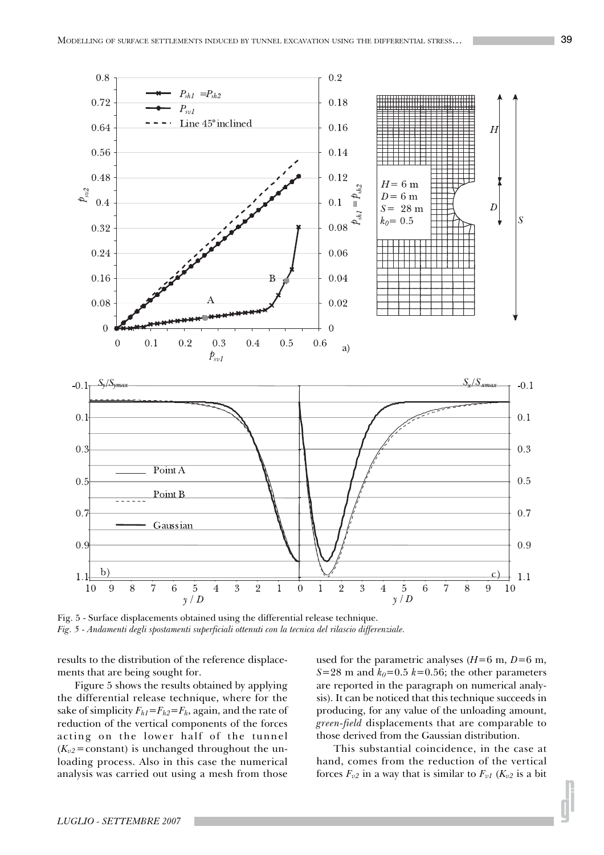

Fig. 5 - Surface displacements obtained using the differential release technique. *Fig. 5 - Andamenti degli spostamenti superficiali ottenuti con la tecnica del rilascio differenziale.*

results to the distribution of the reference displacements that are being sought for.

Figure 5 shows the results obtained by applying the differential release technique, where for the sake of simplicity  $F_{h1} = F_{h2} = F_h$ , again, and the rate of reduction of the vertical components of the forces acting on the lower half of the tunnel  $(K_{v2}$ =constant) is unchanged throughout the unloading process. Also in this case the numerical analysis was carried out using a mesh from those

used for the parametric analyses  $(H=6 \text{ m}, D=6 \text{ m},$ *S*=28 m and  $k_0$ =0.5  $k$ =0.56; the other parameters are reported in the paragraph on numerical analysis). It can be noticed that this technique succeeds in producing, for any value of the unloading amount, *green-field* displacements that are comparable to those derived from the Gaussian distribution.

This substantial coincidence, in the case at hand, comes from the reduction of the vertical forces  $F_{v2}$  in a way that is similar to  $F_{v1}$  ( $K_{v2}$  is a bit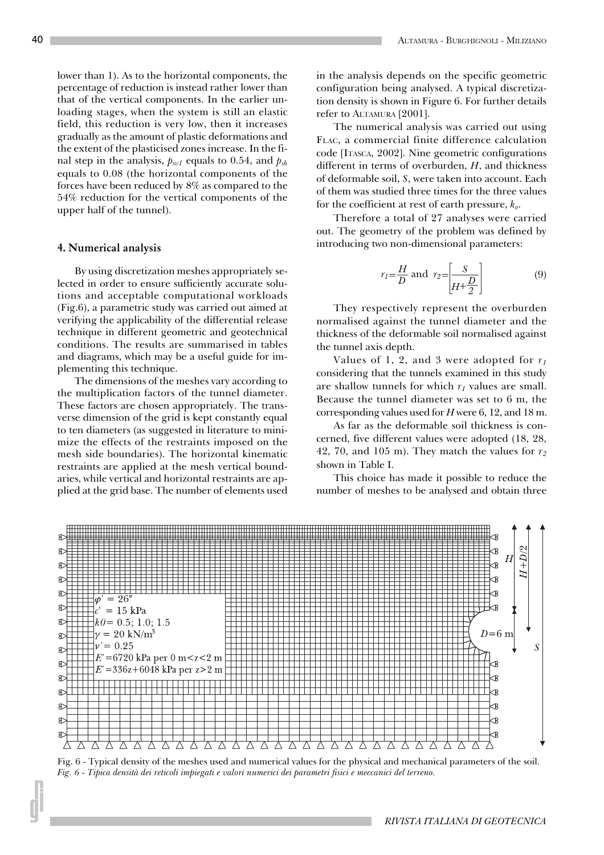lower than 1). As to the horizontal components, the percentage of reduction is instead rather lower than that of the vertical components. In the earlier unloading stages, when the system is still an elastic field, this reduction is very low, then it increases gradually as the amount of plastic deformations and the extent of the plasticised zones increase. In the final step in the analysis,  $p_{sv1}$  equals to 0.54, and  $p_{sh}$ equals to 0.08 (the horizontal components of the forces have been reduced by 8% as compared to the 54% reduction for the vertical components of the upper half of the tunnel).

#### **4. Numerical analysis**

By using discretization meshes appropriately selected in order to ensure sufficiently accurate solutions and acceptable computational workloads (Fig.6), a parametric study was carried out aimed at verifying the applicability of the differential release technique in different geometric and geotechnical conditions. The results are summarised in tables and diagrams, which may be a useful guide for implementing this technique.

The dimensions of the meshes vary according to the multiplication factors of the tunnel diameter. These factors are chosen appropriately. The transverse dimension of the grid is kept constantly equal to ten diameters (as suggested in literature to minimize the effects of the restraints imposed on the mesh side boundaries). The horizontal kinematic restraints are applied at the mesh vertical boundaries, while vertical and horizontal restraints are applied at the grid base. The number of elements used in the analysis depends on the specific geometric configuration being analysed. A typical discretization density is shown in Figure 6. For further details refer to ALTAMURA [2001].

The numerical analysis was carried out using FLAC, a commercial finite difference calculation code [ITASCA, 2002]. Nine geometric configurations different in terms of overburden, *H*, and thickness of deformable soil, *S*, were taken into account. Each of them was studied three times for the three values for the coefficient at rest of earth pressure, *ko*.

Therefore a total of 27 analyses were carried out. The geometry of the problem was defined by introducing two non-dimensional parameters:

$$
r_1 = \frac{H}{D} \text{ and } r_2 = \boxed{\frac{S}{H + \frac{D}{2}}} \tag{9}
$$

They respectively represent the overburden normalised against the tunnel diameter and the thickness of the deformable soil normalised against the tunnel axis depth.

Values of 1, 2, and 3 were adopted for *r1* considering that the tunnels examined in this study are shallow tunnels for which  $r<sub>I</sub>$  values are small. Because the tunnel diameter was set to 6 m, the corresponding values used for *H* were 6, 12, and 18 m.

As far as the deformable soil thickness is concerned, five different values were adopted (18, 28, 42, 70, and 105 m). They match the values for  $r_2$ shown in Table I.

This choice has made it possible to reduce the number of meshes to be analysed and obtain three



Fig. 6 - Typical density of the meshes used and numerical values for the physical and mechanical parameters of the soil. *Fig. 6 - Tipica densità dei reticoli impiegati e valori numerici dei parametri fisici e meccanici del terreno.*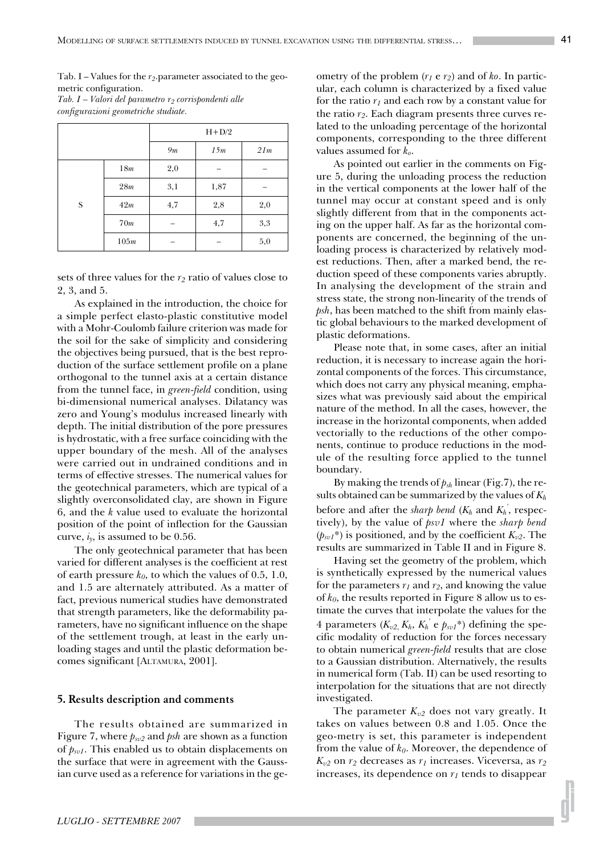Tab. I – Values for the  $r_2$  parameter associated to the geometric configuration.

*Tab. I – Valori del parametro r2 corrispondenti alle configurazioni geometriche studiate.*

|   |                 | $H+D/2$ |      |     |  |  |
|---|-----------------|---------|------|-----|--|--|
|   |                 | 9m      | 15m  | 21m |  |  |
|   | 18 <sub>m</sub> | 2,0     |      |     |  |  |
|   | 28m             | 3,1     | 1,87 |     |  |  |
| S | 42m             | 4,7     | 2,8  | 2,0 |  |  |
|   | 70m             |         | 4,7  | 3,3 |  |  |
|   | 105m            |         |      | 5,0 |  |  |

sets of three values for the  $r_2$  ratio of values close to 2, 3, and 5.

As explained in the introduction, the choice for a simple perfect elasto-plastic constitutive model with a Mohr-Coulomb failure criterion was made for the soil for the sake of simplicity and considering the objectives being pursued, that is the best reproduction of the surface settlement profile on a plane orthogonal to the tunnel axis at a certain distance from the tunnel face, in *green-field* condition, using bi-dimensional numerical analyses. Dilatancy was zero and Young's modulus increased linearly with depth. The initial distribution of the pore pressures is hydrostatic, with a free surface coinciding with the upper boundary of the mesh. All of the analyses were carried out in undrained conditions and in terms of effective stresses. The numerical values for the geotechnical parameters, which are typical of a slightly overconsolidated clay, are shown in Figure 6, and the *k* value used to evaluate the horizontal position of the point of inflection for the Gaussian curve,  $i_y$ , is assumed to be 0.56.

The only geotechnical parameter that has been varied for different analyses is the coefficient at rest of earth pressure  $k_0$ , to which the values of 0.5, 1.0, and 1.5 are alternately attributed. As a matter of fact, previous numerical studies have demonstrated that strength parameters, like the deformability parameters, have no significant influence on the shape of the settlement trough, at least in the early unloading stages and until the plastic deformation becomes significant [ALTAMURA, 2001].

#### **5. Results description and comments**

The results obtained are summarized in Figure 7, where *psv2* and *psh* are shown as a function of  $p_{svl}$ . This enabled us to obtain displacements on the surface that were in agreement with the Gaussian curve used as a reference for variations in the geometry of the problem (*r1* e *r2*) and of *ko*. In particular, each column is characterized by a fixed value for the ratio  $r_1$  and each row by a constant value for the ratio *r2*. Each diagram presents three curves related to the unloading percentage of the horizontal components, corresponding to the three different values assumed for *ko*.

As pointed out earlier in the comments on Figure 5, during the unloading process the reduction in the vertical components at the lower half of the tunnel may occur at constant speed and is only slightly different from that in the components acting on the upper half. As far as the horizontal components are concerned, the beginning of the unloading process is characterized by relatively modest reductions. Then, after a marked bend, the reduction speed of these components varies abruptly. In analysing the development of the strain and stress state, the strong non-linearity of the trends of *psh*, has been matched to the shift from mainly elastic global behaviours to the marked development of plastic deformations.

Please note that, in some cases, after an initial reduction, it is necessary to increase again the horizontal components of the forces. This circumstance, which does not carry any physical meaning, emphasizes what was previously said about the empirical nature of the method. In all the cases, however, the increase in the horizontal components, when added vectorially to the reductions of the other components, continue to produce reductions in the module of the resulting force applied to the tunnel boundary.

By making the trends of *psh* linear (Fig.7), the results obtained can be summarized by the values of *Kh* before and after the *sharp bend (K<sub>h</sub>* and  $K_h$ <sup>'</sup>, respectively), by the value of *psv1* where the *sharp bend*  $(p_{sv1}^*)$  is positioned, and by the coefficient  $K_{v2}$ . The results are summarized in Table II and in Figure 8.

Having set the geometry of the problem, which is synthetically expressed by the numerical values for the parameters  $r_1$  and  $r_2$ , and knowing the value of *k0*, the results reported in Figure 8 allow us to estimate the curves that interpolate the values for the 4 parameters  $(K_{v2}, K_h, K_h^{\prime\prime} \text{ e } \rho_{svI} \text{*})$  defining the specific modality of reduction for the forces necessary to obtain numerical *green-field* results that are close to a Gaussian distribution. Alternatively, the results in numerical form (Tab. II) can be used resorting to interpolation for the situations that are not directly investigated.

The parameter  $K_{v2}$  does not vary greatly. It takes on values between 0.8 and 1.05. Once the geo-metry is set, this parameter is independent from the value of *k0*. Moreover, the dependence of  $K_{\nu2}$  on  $r_2$  decreases as  $r_1$  increases. Viceversa, as  $r_2$ increases, its dependence on  $r_1$  tends to disappear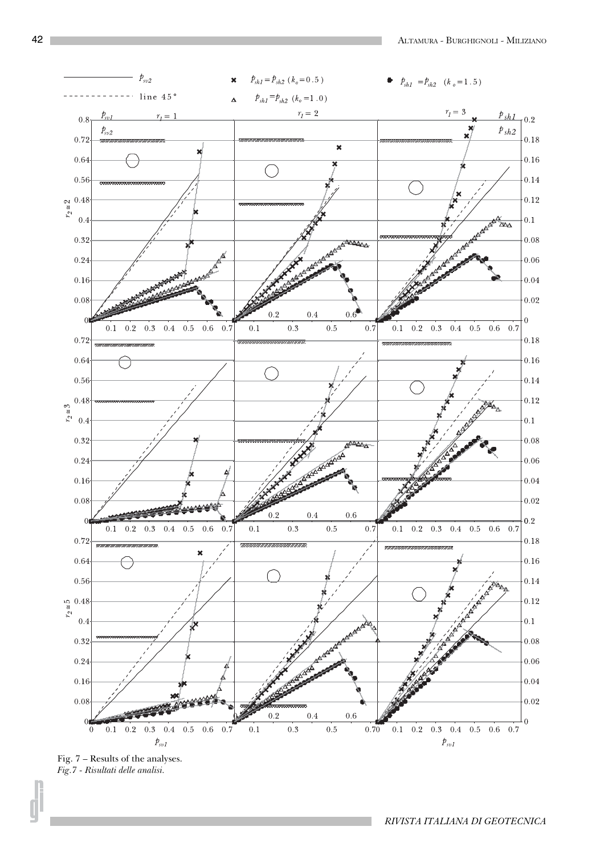

Fig. 7 – Results of the analyses. *Fig.7 - Risultati delle analisi.*

*RIVISTA ITALIANA DI GEOTECNICA*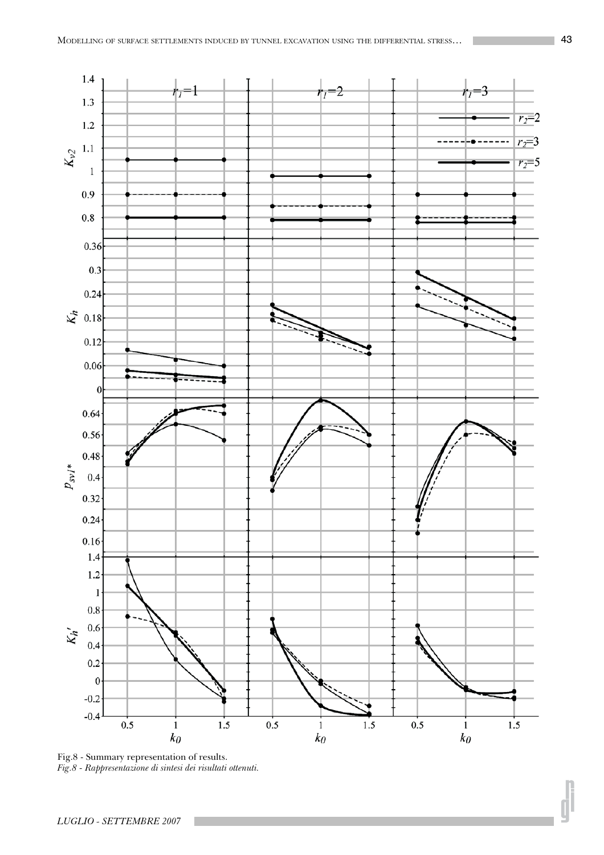

Fig.8 - Summary representation of results. *Fig.8 - Rappresentazione di sintesi dei risultati ottenuti.*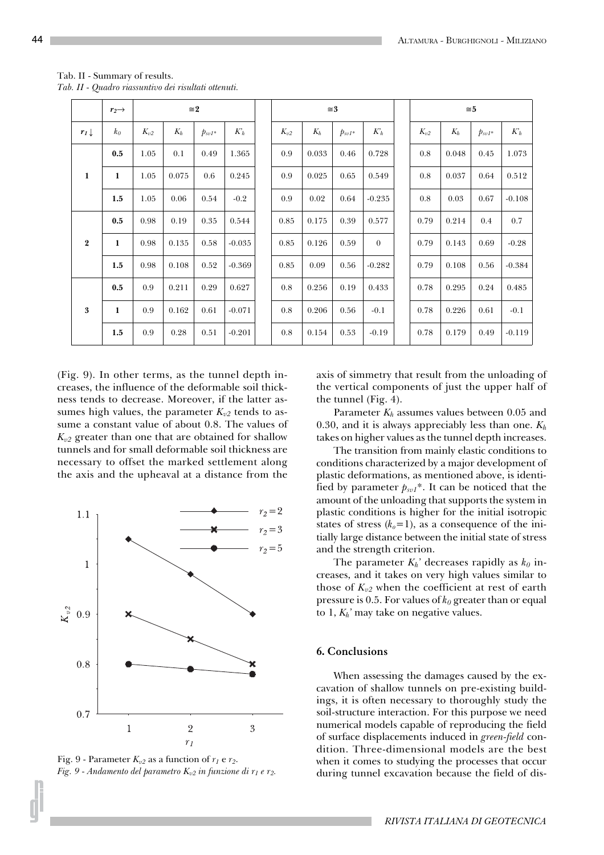|                  | $r_2 \rightarrow$ | $\approx 2$ |       |             |          | $\approx 3$ |       |             |          | $\approx 5$ |       |             |          |
|------------------|-------------------|-------------|-------|-------------|----------|-------------|-------|-------------|----------|-------------|-------|-------------|----------|
| $r_1 \downarrow$ | $k_0$             | $K_{v2}$    | $K_h$ | $p_{svI^*}$ | $K_h$    | $K_{v2}$    | $K_h$ | $p_{svI^*}$ | $K_h$    | $K_{v2}$    | $K_h$ | $p_{svI^*}$ | $K_h$    |
|                  | 0.5               | 1.05        | 0.1   | 0.49        | 1.365    | 0.9         | 0.033 | 0.46        | 0.728    | 0.8         | 0.048 | 0.45        | 1.073    |
| 1                | 1                 | 1.05        | 0.075 | 0.6         | 0.245    | 0.9         | 0.025 | 0.65        | 0.549    | 0.8         | 0.037 | 0.64        | 0.512    |
|                  | 1.5               | 1.05        | 0.06  | 0.54        | $-0.2$   | 0.9         | 0.02  | 0.64        | $-0.235$ | 0.8         | 0.03  | 0.67        | $-0.108$ |
|                  | 0.5               | 0.98        | 0.19  | 0.35        | 0.544    | 0.85        | 0.175 | 0.39        | 0.577    | 0.79        | 0.214 | 0.4         | 0.7      |
| $\overline{2}$   | 1                 | 0.98        | 0.135 | 0.58        | $-0.035$ | 0.85        | 0.126 | 0.59        | $\theta$ | 0.79        | 0.143 | 0.69        | $-0.28$  |
|                  | 1.5               | 0.98        | 0.108 | 0.52        | $-0.369$ | 0.85        | 0.09  | 0.56        | $-0.282$ | 0.79        | 0.108 | 0.56        | $-0.384$ |
|                  | 0.5               | 0.9         | 0.211 | 0.29        | 0.627    | 0.8         | 0.256 | 0.19        | 0.433    | 0.78        | 0.295 | 0.24        | 0.485    |
| 3                | 1                 | 0.9         | 0.162 | 0.61        | $-0.071$ | 0.8         | 0.206 | 0.56        | $-0.1$   | 0.78        | 0.226 | 0.61        | $-0.1$   |
|                  | 1.5               | 0.9         | 0.28  | 0.51        | $-0.201$ | 0.8         | 0.154 | 0.53        | $-0.19$  | 0.78        | 0.179 | 0.49        | $-0.119$ |

|  |  | Tab. II - Summary of results.                        |  |  |
|--|--|------------------------------------------------------|--|--|
|  |  | Tab. II - Quadro riassuntivo dei risultati ottenuti. |  |  |

(Fig. 9). In other terms, as the tunnel depth increases, the influence of the deformable soil thickness tends to decrease. Moreover, if the latter assumes high values, the parameter  $K_{v2}$  tends to assume a constant value of about 0.8. The values of  $K_{v2}$  greater than one that are obtained for shallow tunnels and for small deformable soil thickness are necessary to offset the marked settlement along the axis and the upheaval at a distance from the



Fig. 9 - Parameter  $K_{v2}$  as a function of  $r_1$  e  $r_2$ . *Fig. 9 - Andamento del parametro Kv2 in funzione di r1 e r2.*

axis of simmetry that result from the unloading of the vertical components of just the upper half of the tunnel (Fig. 4).

Parameter  $K_h$  assumes values between 0.05 and 0.30, and it is always appreciably less than one. *Kh* takes on higher values as the tunnel depth increases.

The transition from mainly elastic conditions to conditions characterized by a major development of plastic deformations, as mentioned above, is identified by parameter  $p_{svI}$ <sup>\*</sup>. It can be noticed that the amount of the unloading that supports the system in plastic conditions is higher for the initial isotropic states of stress  $(k_o=1)$ , as a consequence of the initially large distance between the initial state of stress and the strength criterion.

The parameter  $K_h$ <sup>2</sup> decreases rapidly as  $k_0$  increases, and it takes on very high values similar to those of  $K_{v2}$  when the coefficient at rest of earth pressure is 0.5. For values of *k0* greater than or equal to 1, *Kh'* may take on negative values.

## **6. Conclusions**

When assessing the damages caused by the excavation of shallow tunnels on pre-existing buildings, it is often necessary to thoroughly study the soil-structure interaction. For this purpose we need numerical models capable of reproducing the field of surface displacements induced in *green-field* condition. Three-dimensional models are the best when it comes to studying the processes that occur during tunnel excavation because the field of dis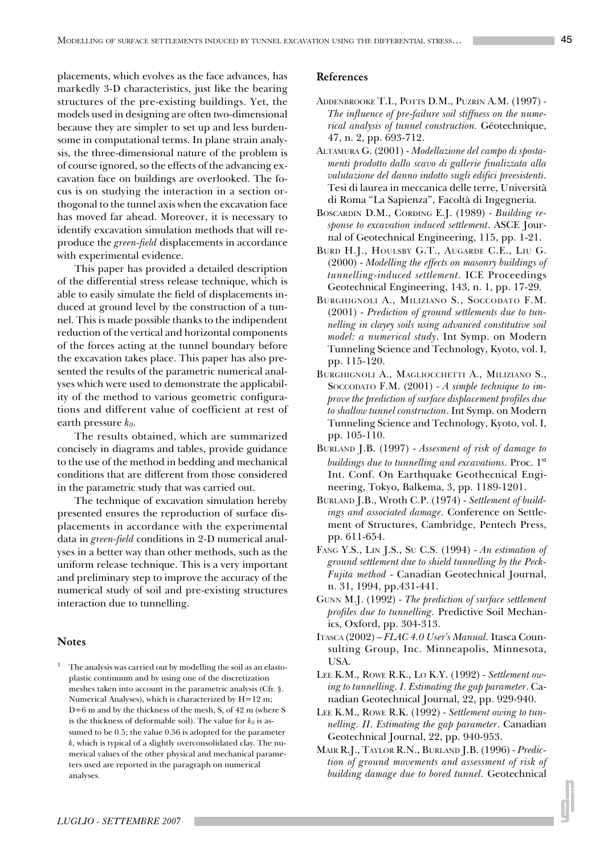placements, which evolves as the face advances, has markedly 3-D characteristics, just like the bearing structures of the pre-existing buildings. Yet, the models used in designing are often two-dimensional because they are simpler to set up and less burdensome in computational terms. In plane strain analysis, the three-dimensional nature of the problem is of course ignored, so the effects of the advancing excavation face on buildings are overlooked. The focus is on studying the interaction in a section orthogonal to the tunnel axis when the excavation face has moved far ahead. Moreover, it is necessary to identify excavation simulation methods that will reproduce the *green-field* displacements in accordance with experimental evidence.

This paper has provided a detailed description of the differential stress release technique, which is able to easily simulate the field of displacements induced at ground level by the construction of a tunnel. This is made possible thanks to the indipendent reduction of the vertical and horizontal components of the forces acting at the tunnel boundary before the excavation takes place. This paper has also presented the results of the parametric numerical analyses which were used to demonstrate the applicability of the method to various geometric configurations and different value of coefficient at rest of earth pressure *k0*.

The results obtained, which are summarized concisely in diagrams and tables, provide guidance to the use of the method in bedding and mechanical conditions that are different from those considered in the parametric study that was carried out.

The technique of excavation simulation hereby presented ensures the reproduction of surface displacements in accordance with the experimental data in *green-field* conditions in 2-D numerical analyses in a better way than other methods, such as the uniform release technique. This is a very important and preliminary step to improve the accuracy of the numerical study of soil and pre-existing structures interaction due to tunnelling.

# **Notes**

<sup>1</sup> The analysis was carried out by modelling the soil as an elastoplastic continuum and by using one of the discretization meshes taken into account in the parametric analysis (Cfr. §. Numerical Analyses), which is characterized by H=12 m; D=6 m and by the thickness of the mesh, S, of 42 m (where S is the thickness of deformable soil). The value for  $k_0$  is assumed to be 0.5; the value 0.56 is adopted for the parameter *k*, which is typical of a slightly overconsolidated clay. The numerical values of the other physical and mechanical parameters used are reported in the paragraph on numerical analyses.

## **References**

- ADDENBROOKE T.I., POTTS D.M., PUZRIN A.M. (1997) *The influence of pre-failure soil stiffness on the numerical analysis of tunnel construction.* Géotechnique, 47, n. 2, pp. 693-712.
- ALTAMURA G. (2001) *Modellazione del campo di spostamenti prodotto dallo scavo di gallerie finalizzata alla valutazione del danno indotto sugli edifici preesistenti.* Tesi di laurea in meccanica delle terre, Università di Roma "La Sapienza", Facoltà di Ingegneria.
- BOSCARDIN D.M., CORDING E.J. (1989) *Building response to excavation induced settlement*. ASCE Journal of Geotechnical Engineering, 115, pp. 1-21.
- BURD H.J., HOULSBY G.T., AUGARDE C.E., LIU G. (2000) - *Modelling the effects on masonry buildings of tunnelling-induced settlement.* ICE Proceedings Geotechnical Engineering, 143, n. 1, pp. 17-29.
- BURGHIGNOLI A., MILIZIANO S., SOCCODATO F.M. (2001) - *Prediction of ground settlements due to tunnelling in clayey soils using advanced constitutive soil model: a numerical study*. Int Symp. on Modern Tunneling Science and Technology, Kyoto, vol. I, pp. 115-120.
- BURGHIGNOLI A., MAGLIOCCHETTI A., MILIZIANO S., SOCCODATO F.M. (2001) - *A simple technique to improve the prediction of surface displacement profiles due to shallow tunnel construction*. Int Symp. on Modern Tunneling Science and Technology, Kyoto, vol. I, pp. 105-110.
- BURLAND J.B. (1997) *Assesment of risk of damage to buildings due to tunnelling and excavations.* Proc. 1st Int. Conf. On Earthquake Geothecnical Engineering, Tokyo, Balkema, 3, pp. 1189-1201.
- BURLAND J.B., Wroth C.P. (1974) *Settlement of buildings and associated damage.* Conference on Settlement of Structures, Cambridge, Pentech Press, pp. 611-654.
- FANG Y.S., LIN J.S., SU C.S. (1994) *An estimation of ground settlement due to shield tunnelling by the Peck-Fujita method* - Canadian Geotechnical Journal, n. 31, 1994, pp.431-441.
- GUNN M.J. (1992) *The prediction of surface settlement profiles due to tunnelling.* Predictive Soil Mechanics, Oxford, pp. 304-313.
- ITASCA (2002) – *FLAC 4.0 User's Manual.* Itasca Counsulting Group, Inc. Minneapolis, Minnesota, USA.
- LEE K.M., ROWE R.K., LO K.Y. (1992) *Settlement owing to tunnelling. I. Estimating the gap parameter*. Canadian Geotechnical Journal, 22, pp. 929-940.
- LEE K.M., ROWE R.K. (1992) *Settlement owing to tunnelling. II. Estimating the gap parameter*. Canadian Geotechnical Journal, 22, pp. 940-953.
- MAIR R.J., TAYLOR R.N., BURLAND J.B. (1996) *Prediction of ground movements and assessment of risk of building damage due to bored tunnel.* Geotechnical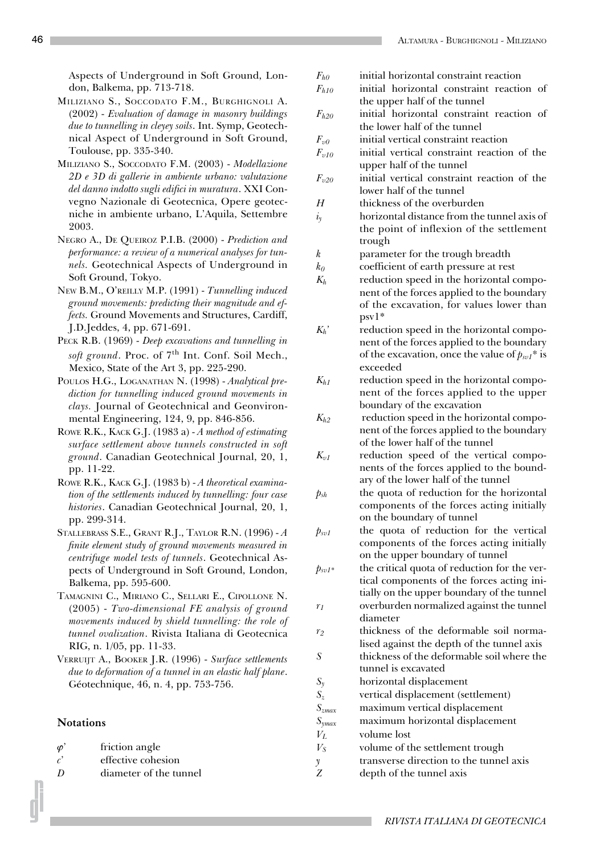Aspects of Underground in Soft Ground, London, Balkema, pp. 713-718.

- MILIZIANO S., SOCCODATO F.M., BURGHIGNOLI A. (2002) - *Evaluation of damage in masonry buildings due to tunnelling in cleyey soils*. Int. Symp, Geotechnical Aspect of Underground in Soft Ground, Toulouse, pp. 335-340.
- MILIZIANO S., SOCCODATO F.M. (2003) *Modellazione 2D e 3D di gallerie in ambiente urbano: valutazione del danno indotto sugli edifici in muratura*. XXI Convegno Nazionale di Geotecnica, Opere geotecniche in ambiente urbano, L'Aquila, Settembre 2003.
- NEGRO A., DE QUEIROZ P.I.B. (2000) *Prediction and performance: a review of a numerical analyses for tunnels.* Geotechnical Aspects of Underground in Soft Ground, Tokyo.
- NEW B.M., O'REILLY M.P. (1991) *Tunnelling induced ground movements: predicting their magnitude and effects.* Ground Movements and Structures, Cardiff, J.D.Jeddes, 4, pp. 671-691.
- PECK R.B. (1969) *Deep excavations and tunnelling in* soft ground. Proc. of 7<sup>th</sup> Int. Conf. Soil Mech., Mexico, State of the Art 3, pp. 225-290.
- POULOS H.G., LOGANATHAN N. (1998) *Analytical prediction for tunnelling induced ground movements in clays.* Journal of Geotechnical and Geonvironmental Engineering, 124, 9, pp. 846-856.
- ROWE R.K., KACK G.J. (1983 a) *A method of estimating surface settlement above tunnels constructed in soft ground*. Canadian Geotechnical Journal, 20, 1, pp. 11-22.
- ROWE R.K., KACK G.J. (1983 b) *A theoretical examination of the settlements induced by tunnelling: four case histories*. Canadian Geotechnical Journal, 20, 1, pp. 299-314.
- STALLEBRASS S.E., GRANT R.J., TAYLOR R.N. (1996) *A finite element study of ground movements measured in centrifuge model tests of tunnels*. Geotechnical Aspects of Underground in Soft Ground, London, Balkema, pp. 595-600.
- TAMAGNINI C., MIRIANO C., SELLARI E., CIPOLLONE N. (2005) - *Two-dimensional FE analysis of ground movements induced by shield tunnelling: the role of tunnel ovalization*. Rivista Italiana di Geotecnica RIG, n. 1/05, pp. 11-33.
- VERRUIJT A., BOOKER J.R. (1996) *Surface settlements due to deformation of a tunnel in an elastic half plane*. Géotechnique, 46, n. 4, pp. 753-756.

#### **Notations**

- $\varphi'$  friction angle
- *c*' effective cohesion
- *D* diameter of the tunnel
- *Fh0* initial horizontal constraint reaction
- *Fh10* initial horizontal constraint reaction of the upper half of the tunnel
- *Fh20* initial horizontal constraint reaction of the lower half of the tunnel
- *Fv0* initial vertical constraint reaction
- $F_{v10}$  initial vertical constraint reaction of the upper half of the tunnel
- $F_{\nu20}$  initial vertical constraint reaction of the lower half of the tunnel
- *H* thickness of the overburden
- $i_y$  horizontal distance from the tunnel axis of the point of inflexion of the settlement trough
- *k* parameter for the trough breadth
- *k0* coefficient of earth pressure at rest
- $K_h$  reduction speed in the horizontal component of the forces applied to the boundary of the excavation, for values lower than psv1\*
- *Kh'* reduction speed in the horizontal component of the forces applied to the boundary of the excavation, once the value of  $p_{sv1}$ <sup>\*</sup> is exceeded
- $K_{h1}$  reduction speed in the horizontal component of the forces applied to the upper boundary of the excavation
- $K_h$ <sup>2</sup> reduction speed in the horizontal component of the forces applied to the boundary of the lower half of the tunnel
- $K_{v1}$  reduction speed of the vertical components of the forces applied to the boundary of the lower half of the tunnel
- $p_{sh}$  the quota of reduction for the horizontal components of the forces acting initially on the boundary of tunnel
- $p_{sv1}$  the quota of reduction for the vertical components of the forces acting initially on the upper boundary of tunnel
- $p_{svl*}$  the critical quota of reduction for the vertical components of the forces acting initially on the upper boundary of the tunnel  $r_1$  overburden normalized against the tunnel diameter
- *r2* thickness of the deformable soil normalised against the depth of the tunnel axis
- *S* thickness of the deformable soil where the tunnel is excavated
- *Sy* horizontal displacement
- *Sz* vertical displacement (settlement)
- *Szmax* maximum vertical displacement
- *Symax* maximum horizontal displacement
- *VL* volume lost
- $V_S$  volume of the settlement trough
- *y* transverse direction to the tunnel axis
- *Z* depth of the tunnel axis